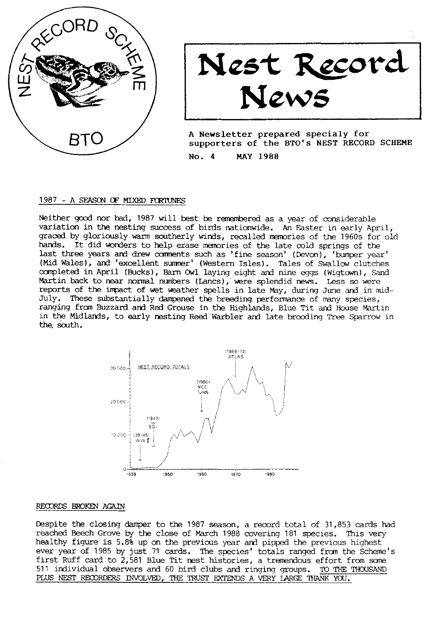

Nest Record<br>News

A Newsletter prepared specialy for supporters of the BTO's NEST RECORD SCHEME No. 4 **MAY 1988** 

#### 1987 - A SEASON OF MIXED FORTUNES

Neither good nor bad, 1987 will best be remembered as a year of considerable variation in the nesting success of birds nationwide. An Easter in early April, graced by gloriously warm southerly winds, recalled memories of the 1960s for old hands. It did wonders to help erase memories of the late cold springs of the last three years and drew comments such as 'fine season' (Devon), 'bumper year' (Mid Wales), and 'excellent summer' (Western Isles). Tales of Swallow clutches completed in April (Bucks), Barn Owl laying eight and nine eggs (Wigtown), Sand Martin back to near normal numbers (Lancs), were splendid news. Less so were reports of the impact of wet weather spells in late May, during June and in mid-July. These substantially dampened the breeding performance of many species, ranging from Buzzard and Red Grouse in the Highlands, Blue Tit and House Martin in the Midlands, to early nesting Reed Warbler and late brooding Tree Sparrow in the south.



### RECORDS BROKEN AGAIN

Despite the closing damper to the 1987 season, a record total of 31,853 cards had reached Beech Grove by the close of March 1988 covering 181 species. This very healthy figure is 5.8% up on the previous year and pipped the previous highest ever year of 1985 by just 71 cards. The species' totals ranged from the Scheme's first Ruff card to 2,581 Blue Tit nest histories, a tremendous effort from some 511 individual observers and 60 bird clubs and ringing groups. TO THE THOUSAND PLUS NEST RECORDERS INVOLVED, THE TRUST EXTENDS A VERY LARGE THANK YOU.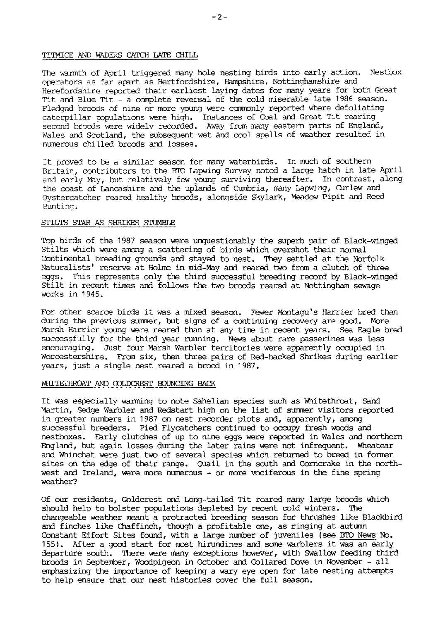### TITMICE AND WADERS CATCH LATE CHILL

The warmth of April triggered many hole nesting birds into early action. Nestbox operators as far apart as Hertfordshire, Hampshire, Nottinghamshire and Herefordshire reported their earliest laying dates for many years for both Great Tit and Blue Tit - a complete reversal of the cold miserable late 1986 season. Fledged broods of nine or more young were commonly reported where defoliating caterpillar populations were high. Instances of Coal and Great Tit rearing second broods were widely recorded. Away from many eastern parts of England, Wales and Scotland, the subsequent wet and cool spells of weather resulted in numerous chilled broods and losses.

It proved to be a similar season for many waterbirds. In much of southern Britain, contributors to the BTO Lapwing Survey noted a large hatch in late April and early May, but relatively few young surviving thereafter. In contrast, along the coast of Lancashire and the uplands of Cumbria, many Lapwing, Curlew and Oystercatcher reared healthy broods, alongside Skylark, Meadow Pipit and Reed Bunting.

### STILTS STAR AS SHRIKES STUMBLE

Top birds of the 1987 season were unquestionably the superb pair of Black-winged Stilts which were among a scattering of birds which overshot their normal Continental breeding grounds and stayed to nest. They settled at the Norfolk Naturalists' reserve at Holme in mid-May and reared two from a clutch of three eqgs. This represents only the third successful breeding record by Black-winged Stilt in recent times and follows the two broods reared at Nottingham sewage works in 1945.

For other scarce birds it was a mixed season. Fewer Montagu's Harrier bred than during the previous summer, but signs of a continuing recovery are good. More Marsh Harrier young were reared than at any time in recent years. Sea Eagle bred successfully for the third year running. News about rare passerines was less encouraging. Just four Marsh Warbler territories were apparently occupied in Worcestershire. From six, then three pairs of Red-backed Shrikes during earlier years, just a single nest reared a brood in 1987.

#### WHITETHROAT AND GOLDCREST BOUNCING BACK

It was especially warming to note Sahelian species such as Whitethroat, Sand Martin, Sedge Warbler and Redstart high on the list of summer visitors reported in greater numbers in 1987 on nest recorder plots and, apparently, among successful breeders. Pied Flycatchers continued to occupy fresh woods and nestboxes. Early clutches of up to nine eggs were reported in Wales and northern England, but again losses during the later rains were not infrequent. Wheatear and Whinchat were just two of several species which returned to breed in former sites on the edge of their range. Quail in the south and Corncrake in the northwest and Ireland, were more numerous - or more vociferous in the fine spring weather?

Of our residents, Goldcrest ond Long-tailed Tit reared many large broods which should help to bolster populations depleted by recent cold winters. The changeable weather meant a protracted breeding season for thrushes like Blackbird and finches like Chaffinch, though a profitable one, as ringing at autumn Constant Effort Sites found, with a large number of juveniles (see BTO News No. 155). After a good start for most hirundines and some warblers it was an early departure south. There were many exceptions however, with Swallow feeding third broods in September, Woodpigeon in October and Collared Dove in November - all emphasizing the importance of keeping a wary eye open for late nesting attempts to help ensure that our nest histories cover the full season.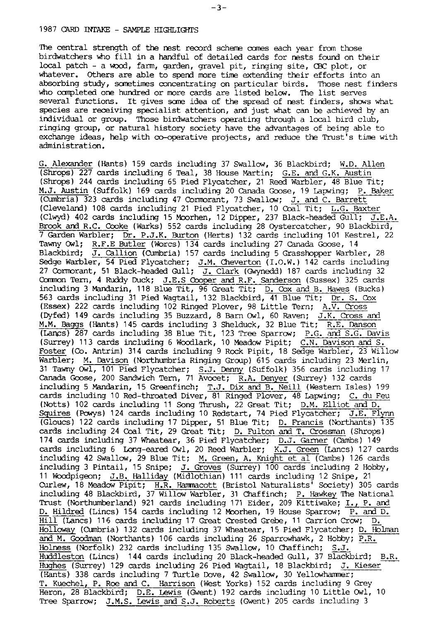### 1987 CARD INTAKE - SAMPLE HIGHLIGHTS

The central strength of the nest record scheme comes each year from those birdwatchers who fill in a handful of detailed cards for nests found on their Iocal patch - a vocd, farm, garden, gravel pit, rirqing site, CBC plot, or whatever. Others are able to spend more time extending their efforts into an absorbing study, sometimes concentrating on particular birds. Those nest finders who completed one hundred or more cards are listed below. The list serves several functions. It gives some idea of the spread of nest finders, shows what species are receiving specialist attention, ard just what can be achieved by an lrdividual or group. Those birdwatchers operatirg through a local bird club, ringing group, or natural history society have the advantages of being able to exchange ideas, help with co-operative projects, and reduce the Trust's time with administration.

G. Alexander (Hants) 159 cards including 37 Swallow, 36 Blackbird; W.D. Allen (Shrops) 227 cards including 6 Teal, 38 House Martin; <u>G.E. and G.K. Austin</u> (Shrops) 244 cards including 65 Pied Flycatcher, 21 Reed Warbler, 48 Blue Tit; M.J. Austin (Suffolk) 169 cards including 20 Canada Goose, 19 Lapwing; P. Baker (Cumbria) 323 cards including 47 Cormorant, 73 Swallow; J. and C. Barrett (Cleveland) 108 cards including 21 Pied Flycatcher, 10 Coal Tit; L.G. Baxter (Clwyd) 402 cards including 15 Moorhen, 12 Dipper, 237 Black-headed Gull; J.E.A. Brook ard R.C. Coke (Warks) 552 cards including 28 Oystercatcher, 90 Blackbird,  $7$  Garden Warbler; Dr. P.J.K. Burton (Herts) 132 cards including 101 Kestrel, 22 Tawny Owl; R.F.E Butler (Worcs) 134 cards including 27 Canada Goose, 14 Blackbird; J. Callion (Cumbria) 157 cards including 5 Grasshopper Warbler, 28 Sedge Warbler, 54 Pied Flycatcher; J.M. Cheverton (I.O.W.) 142 cards including 27 Cormorant, 51 Black-headed Gull; <u>J. Clark</u> (Gwynedd) 187 car Common Tern, 4 Ruddy Duck; J.E.S Cooper and R.F. Sanderson (Sussex) 325 cards including 3 Mandarin, 118 Blue Tit, 96 Great Tit; D. Cox and B. Hawes (Bucks) 563 cards including 31 Pied Wagtail, 132 Blackbird, 41 Blue Tit; Dr. S. Cox (Essex) 222 cards including 102 Ringed Plover, 98 Little Tern;  $A.\overline{V}$ . Cross (Dyfed) 149 cards including 35 Buzzard, 8 Barn Owl, 60 Raven;  $J.K.$  Cross and M.M. Baggs (Hants) 145 cards including 3 Shelduck, 32 Blue Tit; R.E. Danson (Lancs) 287 cards including 38 Blue Tit, 123 Tree Sparrow; P.G. and S.G. Davis (Surrey) 113 cards including 6 Woodlark, 10 Meadow Pipit;  $\overline{C.N.}$  Davison and S. Foster (Co. Antrim) 314 cards including 9 Rock Pipit, 18 Sedge Warbler, 23 Willow Warbler; M. Davison (Northumbria Ringing Group) 615 cards including 23 Merlin, 31 Tawny Owl, 101 Pied Flycatcher; <u>S.J. Denny</u> (Suffolk) 356 cards including 17 Canada Goose, 200 Sandwich Tern, 71 Avocet; R.A. Denyer (Surrey) 132 card: including 5 Mandarin, 15 Greenfinch; <u>T.J. Dix and B. Neill</u> (Western Isles) 199 cards including 10 Red-throated Diver, 81 Ringed Plover, 48 Lapwing; <u>C. du Fe</u>u (Notts) 102 cards including 11 Song Thrush, Z2 Creat fit; o.U. ffiiot ana O. Squires (Powys) 124 cards including 10 Redstart, 74 Pied Flycatcher; J.E. Flynn (Gloucs) 122 cards including 17 Dipper, 51 Blue Tit; D. Francis (Northants) 135 cards including 24 Coal Tit, 29 Great Tit; D. Fulton and T. Crossman (Shrops) 174 cards including 37 Wheatear, 36 Pied Flycatcher; D.J. Garner (Cambs) 149 cards including 6 Long-eared Owl, 20 Reed Warbler;  $K_{\nu}J$ . Green (Lancs) 127 cards including 42 Swallow, 29 Blue Tit; <u>M. Green, A. Knight et al</u> (Cambs) 126 card: including 3 Pintail, 15 Snipe; J<u>. Groves</u> (Surrey) 100 cards including 2 Hobby, 11 Woodpigeon; J.B. Halliday (Midlothian) 111 cards including 12 Snipe, 21 Curlew, 18 Meadow Pipit; H.R. Hammacott (Bristol Naturalists<sup>1</sup> Society) 305 cards including 48 Blackbird, 37 Willow Warbler, 31 Chaffinch; P. Hawkey The National Trust (Northumberland) 921 cards including 171 Eider, 209 Kittiwake; I., P. and D. Hildred (Lincs) 154 cards including 12 Moorhen, 19 House Sparrow; P. and D. Hill (Lancs) 116 cards including 17 Great Crested Grebe, 11 Carrion Crow; D. Holloway (Cumbria) 132 cards including 37 Wheatear, 15 Pied Flycatcher; D. Holman and M. Goodman (Northants) 106 cards including 26 Sparrowhawk, 2 Hobby; P.R. Holness (Norfolk) 232 cards including 135 Swallow, 10 Chaffinch; S.J. Huddleston (Lincs) 144 cards lncluding 20 Black-headed GuIl, 37 Blackbird; B.R. Hughes (Surrey) 129 cards including 26 Pied Wagtail, 18 Blackbird; J. Kieser (Hants) 338 cards including 7 Turtle Dove, 42 Swallow, 30 Yellowhammer; T. Kuechel, P. Roe and C. Harrison (West Yorks) 152 cards including 9 Grey<br>Heron, 28 Blackbird; <u>D.E. Lewis</u> (Gwent) 192 cards including 10 Little Owl, 10 Tree Sparrow; J.M.S. Lewis and S.J. Roberts (Gwent) 205 cards including 3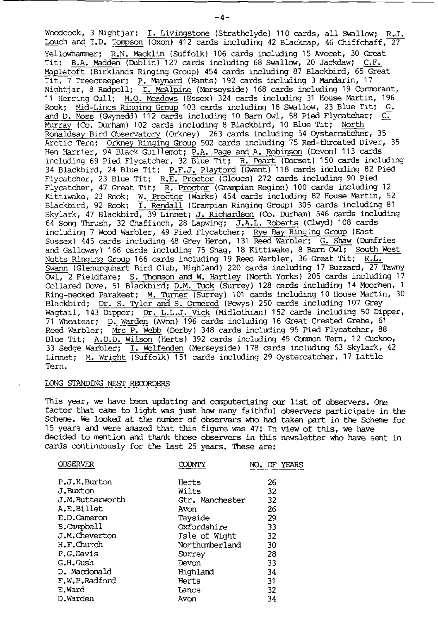Woodcock, 3 Nightjar; I. Livingstone (Strathclyde) 110 cards, all Swallow; R.J. Louch and I.D. Tompson (Oxon) 412 cards including 42 Blackcap, 46 Chiffchaff, 27 Yellowhammer; R.N. Macklin (Suffolk) 106 cards including 15 Avocet, 30 Great Tit; B.A. Madden (Dublin) 127 cards including 68 Swallow, 20 Jackdaw; C.F. Mapletoft (Birklands Ringing Group) 454 cards including 87 Blackbird, 65 Great Tit, 7 Treecreeper; P. Maynard (Hants) 192 cards including 3 Mandarin, 17<br>Nightjar, 8 Redpoll; <u>I. McAlpine</u> (Merseyside) 168 cards including 19 Commorant, 11 Herring Gull; M.O. Meadows (Essex) 324 cards including 31 House Rook; Mid-Lincs Ringing Group 103 cards including 18 Swallow, 23 Blue Tit; G. and D. Moss (Gwynedd) 112 cards including 10 Barn Owl, 58 Pied Flycatcher; C. Murray (Co. Durham) 102 cards including 8 Blackbird, 10 Blue Tit; North Ronaldsay Bird Observatory (Orkney) 263 cards including 54 Oystercatcher, 35 Arctic Tern; Orkney Ringing Group 502 cards including 75 Red-throated Diver, 35 Hen Harrier, 94 Black Guillemot; P.A. Page and A. Robinson (Devon) 113 cards including 69 Pied Flycatcher, 32 Blue Tit; R. Peart (Dorset) 150 cards including<br>34 Blackbird, 24 Blue Tit; <u>P.F.J. Playford</u> (Gwent) 118 cards including 82 Pied Flycatcher, 23 Blue Tit; R.E. Proctor (Gloucs) 272 cards including 90 Pied<br>Flycatcher, 47 Great Tit; R. Proctor (Grampian Region) 100 cards including 12 Kittiwake, 23 Rook; W. Proctor (Warks) 454 cards including 82 House Martin, 52 Blackbird, 92 Rook; I. Rendall (Grampian Ringing Group) 305 cards including 81 Skylark, 47 Blackbird, 39 Linnet; J. Richardson (Co. Durham) 546 cards including 64 Song Thrush, 32 Chaffinch, 28 Lapwing; J.A.L. Roberts (Clwyd) 108 cards including 7 Wood Warbler, 49 Pied Flycatcher; Rye Bay Ringing Group (East Sussex) 445 cards including 48 Grey Heron, 131 Reed Warbler; G. Shaw (Dumfries and Galloway) 166 cards including 75 Shag, 18 Kittiwake, 8 Barn Owl; South West Notts Ringing Group 166 cards including 19 Reed Warbler, 36 Great Tit; R.L. Swann (Glenurguhart Bird Club, Highland) 220 cards including 17 Buzzard, 27 Tawny  $\overline{0w1}$ , 2 Fieldfare; S. Thomson and W. Hartley (North Yorks) 205 cards including 17 Collared Dove, 51 Blackbird; D.M. Tuck (Surrey) 128 cards including 14 Moorhen, 1 Ring-necked Parakeet; M. Turner (Surrey) 101 cards including 10 House Martin, 30 Blackbird; Dr. S. Tyler and S. Ormerod (Powys) 250 cards including 107 Grey Wagtail, 143 Dipper; Dr. L.L.J. Vick (Midlothian) 152 cards including 50 Dipper, 71 Wheatear; D. Warden (Avon) 196 cards including 16 Great Crested Grebe, 61<br>Reed Warbler; Mrs P. Webb (Derby) 348 cards including 95 Pied Flycatcher, 88 Blue Tit; A.D.D. Wilson (Herts) 392 cards including 45 Common Tern, 12 Cuckoo, 33 Sedge Warbler; I. Wolfenden (Merseyside) 178 cards including 53 Skylark, 42 Linnet; M. Wright (Suffolk) 151 cards including 29 Oystercatcher, 17 Little Tern.

### LONG STANDING NEST RECORDERS

This year, we have been updating and computerising our list of observers. One factor that came to light was just how many faithful observers participate in the Scheme. We looked at the number of observers who had taken part in the Scheme for 15 years and were amazed that this figure was 47! In view of this, we have decided to mention and thank those observers in this newsletter who have sent in cards continuously for the last 25 years. These are:

| OBSERVER        | COUNTY          |    |
|-----------------|-----------------|----|
| P.J.K.Burton    | Herts           | 26 |
| J.Buxton        | Wilts           | 32 |
| J.M.Butterworth | Gtr. Manchester | 32 |
| A.E.Billet      | Avon            | 26 |
| E.D.Cameron     | Tayside         | 29 |
| B.Campbell      | Oxfordshire     | 33 |
| J.M.Cheverton   | Isle of Wight   | 32 |
| H.F.Church      | Northumberland  | 30 |
| P.G.Davis       | Surrey          | 28 |
| G.H.Gush        | Devon           | 33 |
| D. Macdonald    | Highland        | 34 |
| F.W.P.Radford   | Herts           | 31 |
| E.Ward          | Lancs           | 32 |
| D.Warden        | Avon            | 34 |

 $-4-$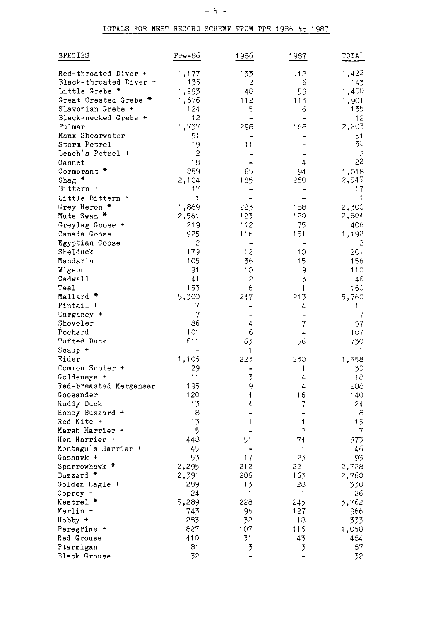| SPECIES                     | $Pre-86$       | 1986           | 1987           | TOTAL          |
|-----------------------------|----------------|----------------|----------------|----------------|
| Red-throated Diver +        | 1,177          | 133            | 112            | 1,422          |
| Black-throated Diver +      | 135            | 2              | 6              | 143            |
| Little Grebe *              | 1,293          | 48             | 59             | 1,400          |
| Great Crested Grebe *       | 1,676          | 112            | 113            | 1,901          |
| Slavonian Grebe +           | 124            | 5              | 6              | 135            |
| Black-necked Grebe +        | 12             | L.             |                | 12             |
| Fulmar                      | 1,737          | 298            | 168            | 2,203          |
| Manx Shearwater             | 51             |                |                | 51             |
| Storm Petrel                | 19             | 11             |                | 30             |
| Leach's Petrel +            | 2              |                | ۳              | $\overline{c}$ |
| Gannet                      | 18             | -              | 4              | 22             |
| Cormorant *                 | 859            | 65             | 94             | 1,018          |
| $Shag$ *<br>Bittern +       | 2,104<br>17    | 185            | 260            | 2,549          |
|                             | 1              | ۰              |                | 17<br>1        |
| Little Bittern +            |                |                | 188            |                |
| Grey Heron *<br>Mute Swan * | 1,889<br>2,561 | 223<br>123     | 120            | 2,300<br>2,804 |
| Greylag Goose +             | 219            | 112            | 75             | 406            |
| Canada Goose                | 925            | 116            | 151            | 1,192          |
| Egyptian Goose              | 2              | -              | ۰              | 2              |
| Shelduck                    | 179            | 12             | 10             | 201            |
| Mandarin                    | 105            | 36             | 15             | 156            |
| Wigeon                      | 91             | 10             | 9              | 110            |
| Gadwall                     | 41             | $\overline{c}$ | 3              | 46             |
| Teal                        | 153            | 6              | 1              | 160            |
| Mallard *                   | 5,300          | 247            | 213            | 5,760          |
| Pintail +                   | 7              |                | 4              | 11             |
| Garganey +                  | 7              | -              | $\overline{a}$ | 7              |
| Shoveler                    | 86             | 4              | 7              | 97             |
| Pochard                     | 101            | 6              |                | 107            |
| Tufted Duck                 | 611            | 63             | 56             | 730            |
| Scaup +                     |                | 1              |                | $\mathbf{1}$   |
| Eider                       | 1,105          | 223            | 230            | 1,558          |
| Common Scoter +             | 29             |                | 1              | 30             |
| Goldeneye +                 | 11             | 3              | 4              | 18             |
| Red-breasted Merganser      | 195            | 9              | 4              | 208            |
| Goosander                   | 120            | 4              | 16             | 140            |
| Ruddy Duck                  | 13             | 4              | 7              | 24             |
| Honey Buzzard +             | 8              | -              |                | 8              |
| Red Kite +                  | 13             | 1              | $\mathbf{1}$   | 15             |
| Marsh Harrier +             | 5              |                | 2              | 7              |
| Hen Harrier +               | 448            | 51             | 74             | 573            |
| Montagu's Harrier +         | 45             |                | 1              | 46             |
| Goshawk +                   | 53             | 17             | 23             | 93             |
| Sparrowhawk *               | 2,295          | 212            | 221            | 2,728          |
| Buzzard *                   | 2,391          | 206            | 163            | 2,760          |
| Golden Eagle +              | 289            | 13             | 28             | 330            |
| Osprey +                    | 24             | 1              | 1              | 26             |
| Kestrel *<br>Merlin +       | 3,289<br>743   | 228<br>96      | 245<br>127     | 3,762<br>966   |
| Hobby +                     | 283            | 32             | 18             | 333            |
| Peregrine +                 | 827            | 107            | 116            | 1,050          |
| Red Grouse                  | 410            | 31             | 43             | 484            |
| Ptarmigan                   | 81             | $\overline{3}$ | 3              | 87             |
| Black Grouse                | 32             | -              |                | 32             |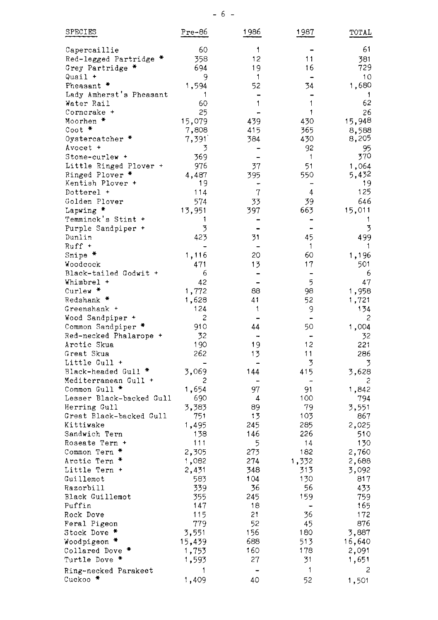| SPECIES                  | Pre-86 | 1986 | 1987           | TOTAL  |
|--------------------------|--------|------|----------------|--------|
| Capercaillie             | 60     | 1    |                | 61     |
| Red-legged Partridge *   | 358    | 12   | 11             | 381    |
| Grey Partridge *         | 694    | 19   | 16             | 729    |
| Quail +                  | 9      | 1    |                | 10     |
| Pheasant *               | 1,594  | 52   | 34             | 1,680  |
| Lady Amherst's Pheasant  | 1      |      |                | 1      |
| Water Rail               | 60     | 1    | 1              | 62     |
| Cornerake +              | 25     |      | 1              | 26     |
| Moorhen *                | 15,079 | 439  | 430            | 15,948 |
| $\cot$ $*$               | 7,808  | 415  | 365            | 8,588  |
| Oystercatcher *          | 7,391  | 384  | 430            | 8,205  |
| Avocet +                 | 3      |      | 92             | 95     |
| Stone-curlew +           | 369    |      | 1              | 370    |
| Little Ringed Plover +   | 976    | 37   | 51             | 1,064  |
| Ringed Plover *          | 4,487  | 395  | 550            | 5,432  |
| Kentish Plover +         | 19     |      |                | 19     |
| Dotterel +               | 114    | 7    | 4              | 125    |
| Golden Plover            | 574    | 33   | 39             | 646    |
| Lapwing *                | 13,951 | 397  | 663            | 15,011 |
| Temminck's Stint +       | 1      |      |                | 1      |
| Purple Sandpiper +       | 3      |      |                | 3      |
| Dunlin                   | 423    | 31   | 45             | 499    |
| $Ruff +$                 |        |      | $\mathbf{1}$   | 1      |
| Snipe *                  | 1,116  | 20   | 60             | 1,196  |
| Woodcock                 | 471    | 13   | 17             | 501    |
| Black-tailed Godwit +    | 6      |      | -              | 6      |
| Whimbrel +               | 42     |      | 5              | 47     |
| Curlew *                 | 1,772  | 88   | 98             | 1,958  |
| Redshank *               | 1,628  | 41   | 52             | 1,721  |
| Greenshank +             | 124    | 1    | 9              | 134    |
| Wood Sandpiper +         | 2      |      |                | 2      |
| Common Sandpiper *       | 910    | 44   | 50             | 1,004  |
| Red-necked Phalarope +   | 32     |      |                | 32     |
| Arctic Skua              | 190    | 19   | 12             | 221    |
| Great Skua               | 262    | 13   | 11             | 286    |
| Little Gull +            |        |      | 3              | 3      |
| Black-headed Gull *      | 3,069  | 144  | 415            | 3,628  |
| Mediterranean Gull +     | 2      |      | $\overline{ }$ | 2      |
| Common Gull *            | 1,654  | 97   | 91             | 1,842  |
| Lesser Black-backed Gull | 690    | 4    | 100            | 794    |
| Herring Gull             | 3,383  | 89   | 79             | 3,551  |
| Great Black-backed Gull  | 751    | 13   | 103            | 867    |
| Kittiwake                | 1,495  | 245  | 285            | 2,025  |
| Sandwich Tern            | 138    | 146  | 226            | 510    |
| Roseate Tern +           | 111    | 5    | 14             | 130    |
| Common Tern *            | 2,305  | 273  | 182            | 2,760  |
| Arctic Tern              | 1,082  | 274  | 1,332          | 2,688  |
| Little Tern +            | 2,431  | 348  | 313            | 3,092  |
| Guillemot                | 583    | 104  | 130            | 817    |
| Razorbill                | 339    | 36   | 56             | 433    |
| Black Guillemot          | 355    | 245  | 159            | 759.   |
| Puffin                   | 147    | 18   |                | 165    |
| Rock Dove                | 115    | 21   | 36             | 172    |
| Feral Pigeon             | 779    | 52   | 45             | 876    |
| Stock Dove *             | 3,551  | 156  | 180            | 3,887  |
| Woodpigeon *             | 15,439 | 688  | 513            | 16,640 |
| Collared Dove *          | 1,753  | 160  | 178            | 2,091  |
| Turtle Dove *            | 1,593  | 27   | 31             | 1,651  |
| Ring-necked Parakeet     | 1      | ۰    | 1              | 2      |
| Cuckoo *                 | 1,409  | 40   | 52             | 1,501  |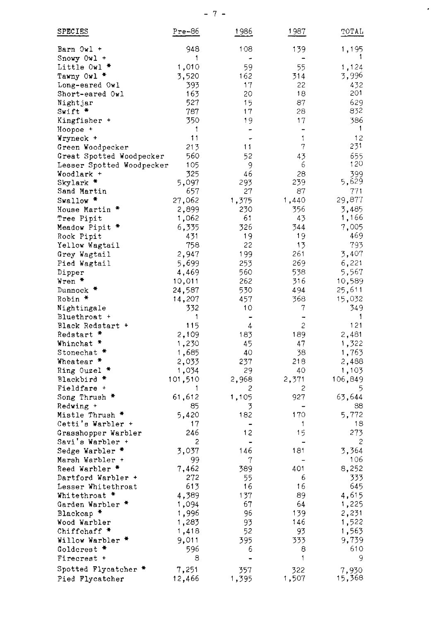| <b>SPECIES</b>                          | Pre-86          | 1986                          | 1987                 | TOTAL           |
|-----------------------------------------|-----------------|-------------------------------|----------------------|-----------------|
| Barn Owl +                              | 948             | 108                           | 139                  | 1,195           |
| Snowy Owl +                             | 1               |                               |                      |                 |
| Little Owl *                            | 1,010           | 59                            | 55                   | 1,124           |
| Tawny Owl *                             | 3,520           | 162                           | 314                  | 3,996           |
| Long-eared Owl                          | 393             | 17                            | 22                   | 432             |
| Short-eared Owl                         | 163             | 20                            | 18                   | 201             |
| Nightjar                                | 527             | 15                            | 87                   | 629             |
| Swift *                                 | 787             | 17                            | 28                   | 832             |
| Kingfisher +                            | 350<br>1        | 19                            | 17<br>$\overline{a}$ | 386<br>1        |
| Hoopoe +<br>Wryneck +                   | 11              | ÷                             | 1                    | 12              |
| Green Woodpecker                        | 213             | 11                            | 7                    | 231             |
| Great Spotted Woodpecker                | 560             | 52                            | 43                   | 655             |
| Lesser Spotted Woodpecker               | 105             | 9                             | 6                    | 120             |
| Woodlark +                              | 325             | 46                            | 28                   | 399             |
| Skylark *                               | 5,097           | 293                           | 239                  | 5,629           |
| Sand Martin                             | 657             | 27                            | 87                   | 771             |
| Swallow *                               | 27,062          | 1,375                         | 1,440                | 29,877          |
| House Martin *                          | 2,899           | 230                           | 356                  | 3,485           |
| Tree Pipit                              | 1,062           | 61                            | 43                   | 1,166           |
| Meadow Pipit *                          | 6,335           | 326                           | 344                  | 7,005           |
| Rock Pipit                              | 431<br>758      | 19<br>22                      | 19<br>13             | 469<br>793      |
| Yellow Wagtail<br>Grey Wagtail          | 2,947           | 199                           | 261                  | 3,407           |
| Pied Wagtail                            | 5,699           | 253                           | 269                  | 6,221           |
| Dipper                                  | 4,469           | 560                           | 538                  | 5,567           |
| Wren *                                  | 10,011          | 262                           | 316                  | 10,589          |
| Dunnock *                               | 24,587          | 530                           | 494                  | 25,611          |
| Robin *                                 | 14,207          | 457                           | 368                  | 15,032          |
| Nightingale                             | 332             | 10                            | 7                    | 349.            |
| Bluethroat +                            | 1               | -                             | -                    | -1              |
| Black Redstart +                        | 115             | 4                             | 2                    | 121             |
| Redstart *                              | 2,109           | 183                           | 189                  | 2,481           |
| Whinchat *                              | 1,230           | 45                            | 47                   | 1,322           |
| Stonechat *<br>Wheatear *               | 1,685<br>2,033  | 40<br>237                     | 38<br>218            | 1,763<br>2,488  |
| Ring Ouzel                              | 1,034           | 29                            | 40                   | 1,103           |
| Blackbird *                             | 101,510         | 2,968                         | 2,371                | 106,849         |
| Fieldfare +                             | 1               | 2                             | 2                    | 5               |
| Song Thrush *                           | 61,612          | 1,105                         | 927                  | 63,644          |
| Redwing +                               | 85              | 3                             |                      | 88              |
| Mistle Thrush *                         | 5,420           | 182                           | 170                  | 5,772           |
| Cetti's Warbler +                       | 17              |                               | 1                    | 18              |
| Grasshopper Warbler                     | 246             | 12                            | 15                   | 273             |
| Savi's Warbler +<br>Sedge Warbler *     | 2<br>3.037      | 146                           | 181                  | 2<br>3,364      |
| Marsh Warbler +                         | 99              | 7                             |                      | 106             |
| Reed Warbler *                          | 7,462           | 389                           | 401                  | 8,252           |
| Dartford Warbler +                      | 272             | 55                            | 6                    | 333             |
| Lesser Whitethroat                      | 613             | 16                            | 16                   | 645             |
| Whitethroat *                           | 4,389           | 137                           | 89                   | 4,615           |
| Garden Warbler *                        | 1,094           | 67                            | 64                   | 1,225           |
| Blackcap *                              | 1,996           | 96                            | 139                  | 2,231           |
| Wood Warbler                            | 1,283           | 93                            | 146                  | 1,522           |
| Chiffchaff *                            | 1,418           | 52                            | 93                   | 1,563           |
| Willow Warbler *                        | 9,011           | 395                           | 333                  | 9,739<br>610    |
| Goldcrest *<br>Firecrest +              | 596<br>8        | 6<br>$\overline{\phantom{0}}$ | 8<br>1               | 9               |
|                                         |                 |                               |                      |                 |
| Spotted Flycatcher *<br>Pied Flycatcher | 7,251<br>12,466 | 357<br>1,395                  | 322<br>1,507         | 7,930<br>15,368 |

 $\epsilon$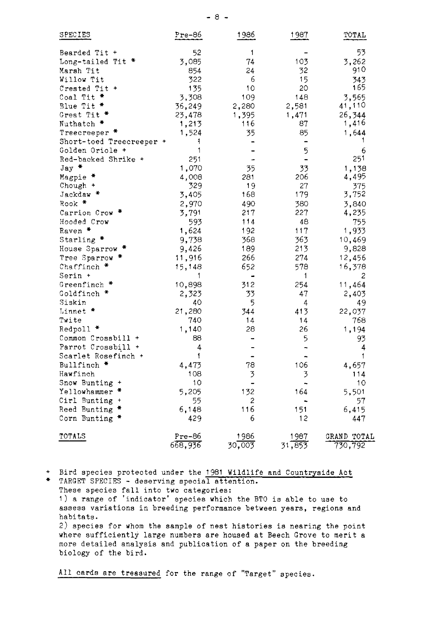| SPECIES                  | Pre-86  | 1986   | 1987                     | TOTAL       |
|--------------------------|---------|--------|--------------------------|-------------|
| Bearded Tit +            | 52      | 1      |                          | 53          |
| Long-tailed Tit *        | 3,085   | 74     | 103                      | 3,262       |
| Marsh Tit                | 854     | 24     | 32                       | 910         |
| Willow Tit               | 322     | 6      | 15                       | 343         |
| Crested Tit +            | 135     | 10     | 20                       | 165         |
| Coal Tit *               | 3,308   | 109    | 148                      | 3,565       |
| Blue Tit *               | 36,249  | 2,280  | 2,581                    | 41,110      |
| Great Tit *              | 23,478  | 1,395  | 1,471                    | 26,344      |
| Nuthatch *               | 1,213   | 116    | 87                       | 1,416       |
| Treecreeper *            | 1,524   | 35     | 85                       | 1,644       |
| Short-toed Treecreeper + | 1       |        | $\overline{\phantom{0}}$ |             |
| Golden Oriole +          | 1       |        | 5                        | 6           |
| Red-backed Shrike +      | 251     |        | $\blacksquare$           | 251         |
| Jay *                    | 1,070   | 35     | 33                       | 1,138       |
| Magpie *                 | 4,008   | 281    | 206                      | 4,495       |
| Chough +                 | 329     | 19     | 27                       | 375         |
| Jackdaw *                | 3,405   | 168    | 179                      | 3,752       |
| Rook *                   | 2,970   | 490    | 380                      | 3,840       |
| Carrion Crow *           | 3,791   | 217    | 227                      | 4,235       |
| Hooded Crow              | 593     | 114    | 48                       | 755         |
| Raven *                  | 1,624   | 192    | 117                      | 1,933       |
| Starling *               | 9,738   | 368    | 363                      | 10,469      |
| House Sparrow            | 9,426   | 189    | 213                      | 9,828       |
| Tree Sparrow *           | 11,916  | 266    | 274                      | 12,456      |
| Chaffinch *              | 15,148  | 652    | 578                      | 16,378      |
| Serin +                  | 1       |        | 1                        | 2           |
| Greenfinch *             | 10,898  | 312    | 254                      | 11,464      |
| Goldfinch *              | 2,323   | 33     | 47                       | 2,403       |
| Siskin                   | 40      | 5      | 4                        | 49          |
| Linnet *                 | 21,280  | 344    | 413                      | 22,037      |
| Twite                    | 740     | 14     | 14                       | 768         |
| Redpoll *                | 1,140   | 28     | 26                       | 1,194       |
| Common Crossbill +       | 88      |        | 5                        | 93          |
| Parrot Crossbill +       | 4       |        |                          | 4           |
| Scarlet Rosefinch +      | 1       |        |                          | 1           |
| Bullfinch *              | 4,473   | 78     | 106                      | 4,657       |
| Hawfinch                 | 108     | 3      | 3                        | 114         |
| Snow Bunting +           | 10      |        | $\ddot{ }$               | 10          |
| Yellowhammer *           | 5,205   | 132    | 164                      | 5,501       |
| Cirl Bunting +           | 55      | 2      |                          | 57          |
| *<br>Reed Bunting        | 6,148   | 116    | 151                      | 6,415       |
| Corn Bunting *           | 429     | 6      | 12                       | 447         |
| TOTALS                   | Pre-86  | 1986   | 1987                     | GRAND TOTAL |
|                          | 668,936 | 30,003 | 31,853                   | 730,792     |

+ Bird species protected under the 1981 Wildlife and Countryside Act

\* TARGET SPECIES - deserving special attention. These species fall into two categories: 1) a range of 'indicator' species which the BTO is able to use to assess variations in breeding performance between years, regions and habitats. 2) species for whom the sample of nest histories is nearing the point where sufficiently large numbers are housed at Beech Grove to merit a more detailed analysis and publication of a paper on the breeding biology of the bird.

All cards are treasured for the range of "Target" species.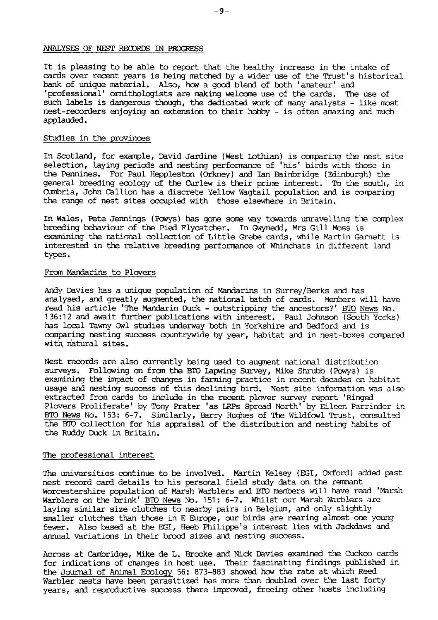### ANALYSES OF NEST RECORDS IN PROGRESS

It is pleasing to be able to report that the healthy increase in the intake of cards over recent years is being matched by a wider use of the Trust's historical bank of unique material. Also, how a good blend of both 'amateur' and 'professional' ornithologists are making welcome use of the cards. The use of such labels is dangerous though, the dedicated work of many analysts - like most nest-recorders enjoying an extension to their hobby - is often amazing and much applauded.

### Studies in the provinces

In Scotland, for example, David Jardine (West Lothian) is comparing the nest site selection, laying periods and nesting performance of 'his' birds with those in the Pennines. For Paul Heppleston (Orkney) and Ian Bainbridge (Edinburgh) the general breeding ecology of the Curlew is their prime interest. To the south, in Cumbria, John Callion has a discrete Yellow Wagtail population and is comparing the range of nest sites occupied with those elsewhere in Britain.

In Wales, Pete Jennings (Powys) has gone some way towards unravelling the complex breeding behaviour of the Pied Flycatcher. In Gwynedd, Mrs Gill Moss is examining the national collection of Little Grebe cards, while Martin Garnett is interested in the relative breeding performance of Whinchats in different land types.

### From Mandarins to Plovers

Andy Davies has a unique population of Mandarins in Surrey/Berks and has analysed, and greatly augmented, the national batch of cards. Members will have read his article 'The Mandarin Duck - outstripping the ancestors?' BTO News No. 136:12 and await further publications with interest. Paul Johnson (South Yorks) has local Tawny Owl studies underway both in Yorkshire and Bedford and is comparing nesting success countrywide by year, habitat and in nest-boxes compared with natural sites.

Nest records are also currently being used to augment national distribution surveys. Following on from the BTO Lapwing Survey, Mike Shrubb (Powys) is examining the impact of changes in farming practice in recent decades on habitat usage and nesting success of this declining bird. Nest site information was also extracted from cards to include in the recent plover survey report 'Ringed Plovers Proliferate' by Tony Prater 'as LRPs Spread North' by Eileen Parrinder in BTO News No. 153: 6-7. Similarly, Barry Hughes of The Wildfowl Trust, consulted the BTO collection for his appraisal of the distribution and nesting habits of the Ruddy Duck in Britain.

## The professional interest

The universities continue to be involved. Martin Kelsey (EGI, Oxford) added past nest record card details to his personal field study data on the remnant Worcestershire population of Marsh Warblers and BTO members will have read 'Marsh Warblers on the brink' BTO News No. 151: 6-7. Whilst our Marsh Warblers are laying similar size clutches to nearby pairs in Belgium, and only slightly smaller clutches than those in E Europe, our birds are rearing almost one young fewer. Also based at the EGI, Heeb Philippe's interest lies with Jackdaws and annual variations in their brood sizes and nesting success.

Across at Cambridge, Mike de L. Brooke and Nick Davies examined the Cuckoo cards for indications of changes in host use. Their fascinating findings published in the Journal of Animal Ecology 56: 873-883 showed how the rate at which Reed Warbler nests have been parasitized has more than doubled over the last forty vears, and reproductive success there improved, freeing other hosts including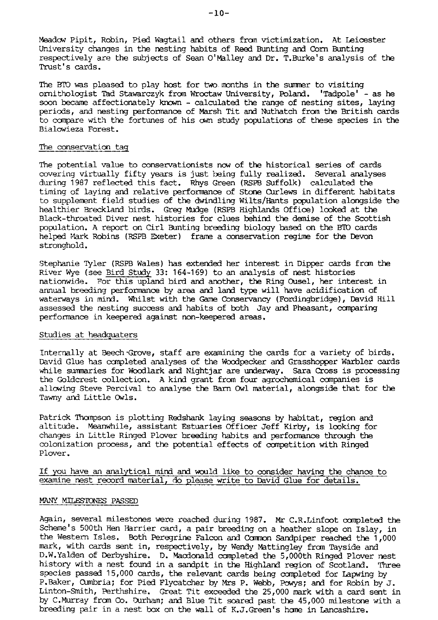Meadow Pipit, Robin, Pied Wagtail and others from victimization. At Leicester University changes in the nesting habits of Reed Bunting and Corn Bunting respectively are the subjects of Sean O'Malley and Dr. T.Burke's analysis of the Trust's cards.

The BTO was pleased to play host for two months in the summer to visiting ornithologist Tad Stawarczyk from Wroctaw University, Poland. 'Tadpole' - as he soon became affectionately known - calculated the range of nesting sites, laying periods, and nesting performance of Marsh Tit and Nuthatch from the British cards to compare with the fortunes of his own study populations of these species in the Bialowieza Forest.

## The conservation tag

The potential value to conservationists now of the historical series of cards covering virtually fifty years is just being fully realized. Several analyses during 1987 reflected this fact. Rhys Green (RSPB Suffolk) calculated the timing of laying and relative performance of Stone Curlews in different habitats to supplement field studies of the dwindling Wilts/Hants population alongside the healthier Breckland birds. Greg Mudge (RSPB Highlands Office) looked at the Black-throated Diver nest histories for clues behind the demise of the Scottish population. A report on Cirl Bunting breeding biology based on the BTO cards helped Mark Robins (RSPB Exeter) frame a conservation regime for the Devon stronghold.

Stephanie Tyler (RSPB Wales) has extended her interest in Dipper cards from the River Wye (see Bird Study 33: 164-169) to an analysis of nest histories nationwide. For this upland bird and another, the Ring Ousel, her interest in annual breeding performance by area and land type will have acidification of waterways in mind. Whilst with the Game Conservancy (Fordingbridge), David Hill assessed the nesting success and habits of both Jay and Pheasant, comparing performance in keepered against non-keepered areas.

### Studies at headquaters

Internally at Beech Grove, staff are examining the cards for a variety of birds. David Glue has completed analyses of the Woodpecker and Grasshopper Warbler cards while summaries for Woodlark and Nightjar are underway. Sara Cross is processing the Goldcrest collection. A kind grant from four agrochemical companies is allowing Steve Percival to analyse the Barn Owl material, alongside that for the Tawny and Little Owls.

Patrick Thompson is plotting Redshank laying seasons by habitat, region and altitude. Meanwhile, assistant Estuaries Officer Jeff Kirby, is looking for changes in Little Ringed Plover breeding habits and performance through the colonization process, and the potential effects of competition with Ringed Plover.

## If you have an analytical mind and would like to consider having the chance to examine nest record material, do please write to David Glue for details.

### MANY MILESTONES PASSED

Again, several milestones were reached during 1987. Mr C.R.Linfoot completed the Scheme's 500th Hen Harrier card, a pair breeding on a heather slope on Islay, in the Western Isles. Both Peregrine Falcon and Common Sandpiper reached the 1,000 mark, with cards sent in, respectively, by Wendy Mattingley from Tayside and D.W.Yalden of Derbyshire. D. Macdonald completed the 5,000th Ringed Plover nest history with a nest found in a sandpit in the Highland region of Scotland. Three species passed 15,000 cards, the relevant cards being completed for Lapwing by P.Baker, Cumbria; for Pied Flycatcher by Mrs P. Webb, Powys; and for Robin by J. Linton-Smith, Perthshire. Great Tit exceeded the 25,000 mark with a card sent in by C.Murray from Co. Durham; and Blue Tit soared past the 45,000 milestone with a breeding pair in a nest box on the wall of K.J.Green's home in Lancashire.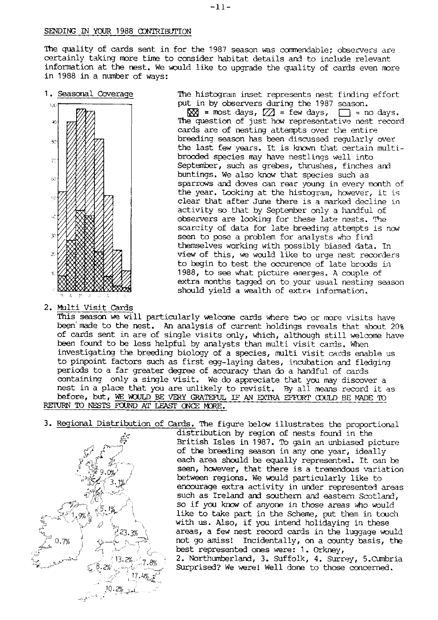### SENDING IN YOUR 1988 CONTRIBUTION

The quality of cards sent in for the 1987 season was commendable; observers are certainly taking more time to consider habitat details and to include relevant information at the nest. We would like to upgrade the quality of cards even more in 1988 in a number of ways:

1. Seasonal Coverage



2. Multi Visit Cards

The histogram inset represents nest finding effort put in by observers during the 1987 season.

 $\overline{XX}$  = most days,  $\overline{Z}$  = few days,  $\Box$  = no days. The question of just how representative nest record cards are of nesting attempts over the entire breeding season has been discussed reqularly over the last few years. It is known that certain multibrooded species may have nestlings well into September, such as grebes, thrushes, finches and buntings. We also know that species such as sparrows and doves can rear young in every month of the year. Looking at the histogram, however, it is clear that after June there is a marked decline in activity so that by September only a handful of observers are looking for these late nests. The scarcity of data for late breeding attempts is now seen to pose a problem for analysts who find themselves working with possibly biased data. In view of this, we would like to urge nest recorders to begin to test the occurence of late broods in 1988, to see what picture energes. A couple of extra months tagged on to your usual nesting season should yield a wealth of extra information.

This season we will particularly welcome cards where two or more visits have been made to the nest. An analysis of current holdings reveals that about 20% of cards sent in are of single visits only, which, although still welcome have been found to be less helpful by analysts than multi visit cards. When investigating the breeding biology of a species, multi visit cards enable us to pinpoint factors such as first eqq-laying dates, incubation and fledging periods to a far greater degree of accuracy than do a handful of cards containing only a single visit. We do appreciate that you may discover a nest in a place that you are unlikely to revisit. By all means record it as before, but, WE WOULD BE VERY GRATEFUL IF AN EXTRA EFFORT COULD BE MADE TO RETURN TO NESTS FOUND AT LEAST ONCE MORE.

3. Regional Distribution of Cards. The figure below illustrates the proportional



distribution by region of nests found in the British Isles in 1987. To gain an unbiased picture of the breeding season in any one year, ideally each area should be equally represented. It can be seen, however, that there is a tremendous variation between regions. We would particularly like to encourage extra activity in under represented areas such as Ireland and southern and eastern Scotland, so if you know of anyone in those areas who would like to take part in the Scheme, put them in touch with us. Also, if you intend holidaying in these areas, a few nest record cards in the luggage would not go amiss! Incidentally, on a county basis, the best represented ones were: 1. Orkney. 2. Northumberland, 3. Suffolk, 4. Surrey, 5. Cumbria Surprised? We were! Well done to those concerned.